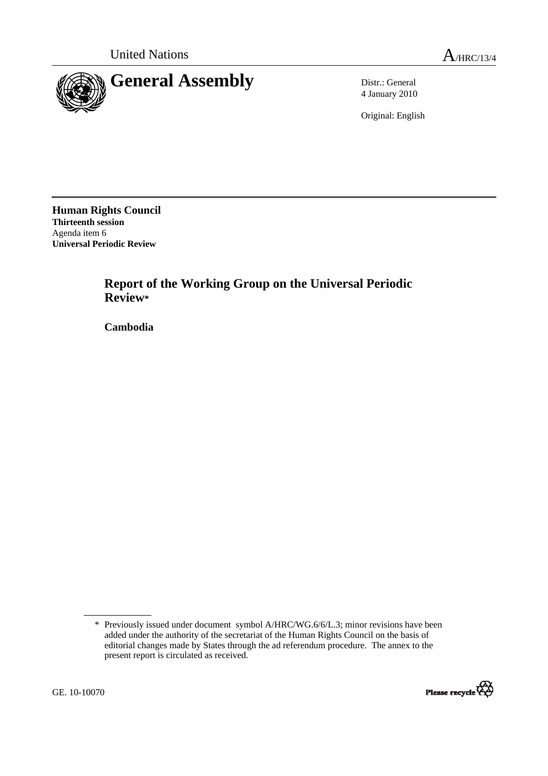

4 January 2010

Original: English

**Human Rights Council Thirteenth session**  Agenda item 6 **Universal Periodic Review** 

> **Report of the Working Group on the Universal Periodic Review\***

 **Cambodia** 

<sup>\*</sup> Previously issued under document symbol A/HRC/WG.6/6/L.3; minor revisions have been added under the authority of the secretariat of the Human Rights Council on the basis of editorial changes made by States through the ad referendum procedure. The annex to the present report is circulated as received.

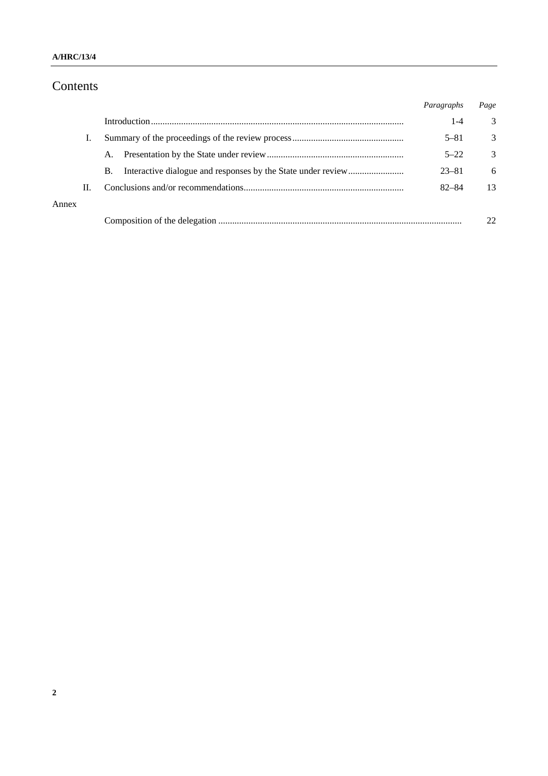### **A/HRC/13/4**

## Contents

|       |    |    | Paragraphs | Page |
|-------|----|----|------------|------|
|       |    |    | $1 - 4$    | 3    |
|       |    |    | $5 - 81$   | 3    |
|       |    | A. | $5 - 22$   | 3    |
|       |    | В. | $23 - 81$  | 6    |
|       | П. |    | $82 - 84$  | 13   |
| Annex |    |    |            |      |
|       |    |    |            |      |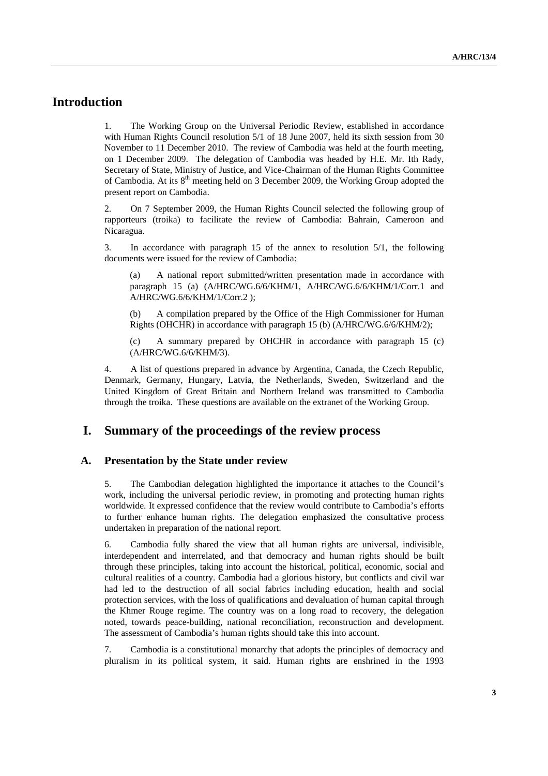## **Introduction**

1. The Working Group on the Universal Periodic Review, established in accordance with Human Rights Council resolution 5/1 of 18 June 2007, held its sixth session from 30 November to 11 December 2010. The review of Cambodia was held at the fourth meeting, on 1 December 2009. The delegation of Cambodia was headed by H.E. Mr. Ith Rady, Secretary of State, Ministry of Justice, and Vice-Chairman of the Human Rights Committee of Cambodia. At its 8th meeting held on 3 December 2009, the Working Group adopted the present report on Cambodia.

2. On 7 September 2009, the Human Rights Council selected the following group of rapporteurs (troika) to facilitate the review of Cambodia: Bahrain, Cameroon and Nicaragua.

3. In accordance with paragraph 15 of the annex to resolution 5/1, the following documents were issued for the review of Cambodia:

(a) A national report submitted/written presentation made in accordance with paragraph 15 (a) (A/HRC/WG.6/6/KHM/1, A/HRC/WG.6/6/KHM/1/Corr.1 and A/HRC/WG.6/6/KHM/1/Corr.2 );

(b) A compilation prepared by the Office of the High Commissioner for Human Rights (OHCHR) in accordance with paragraph 15 (b) (A/HRC/WG.6/6/KHM/2);

(c) A summary prepared by OHCHR in accordance with paragraph 15 (c) (A/HRC/WG.6/6/KHM/3).

4. A list of questions prepared in advance by Argentina, Canada, the Czech Republic, Denmark, Germany, Hungary, Latvia, the Netherlands, Sweden, Switzerland and the United Kingdom of Great Britain and Northern Ireland was transmitted to Cambodia through the troika. These questions are available on the extranet of the Working Group.

### **I. Summary of the proceedings of the review process**

### **A. Presentation by the State under review**

5. The Cambodian delegation highlighted the importance it attaches to the Council's work, including the universal periodic review, in promoting and protecting human rights worldwide. It expressed confidence that the review would contribute to Cambodia's efforts to further enhance human rights. The delegation emphasized the consultative process undertaken in preparation of the national report.

6. Cambodia fully shared the view that all human rights are universal, indivisible, interdependent and interrelated, and that democracy and human rights should be built through these principles, taking into account the historical, political, economic, social and cultural realities of a country. Cambodia had a glorious history, but conflicts and civil war had led to the destruction of all social fabrics including education, health and social protection services, with the loss of qualifications and devaluation of human capital through the Khmer Rouge regime. The country was on a long road to recovery, the delegation noted, towards peace-building, national reconciliation, reconstruction and development. The assessment of Cambodia's human rights should take this into account.

7. Cambodia is a constitutional monarchy that adopts the principles of democracy and pluralism in its political system, it said. Human rights are enshrined in the 1993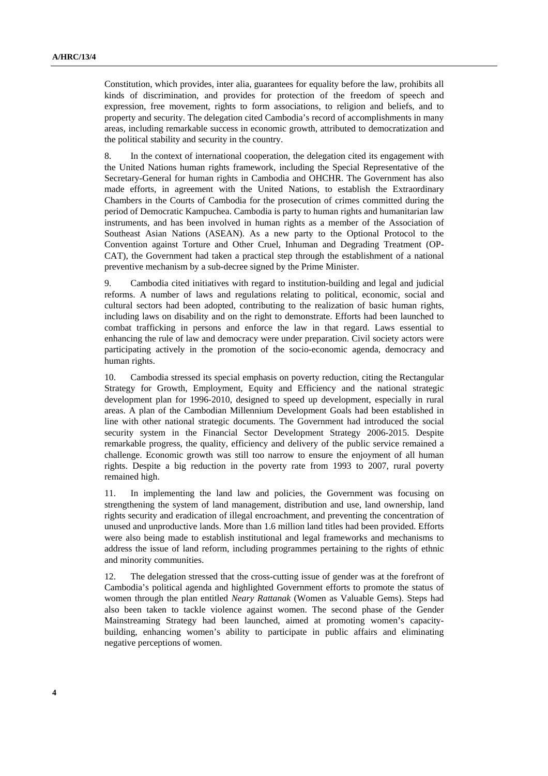Constitution, which provides, inter alia, guarantees for equality before the law, prohibits all kinds of discrimination, and provides for protection of the freedom of speech and expression, free movement, rights to form associations, to religion and beliefs, and to property and security. The delegation cited Cambodia's record of accomplishments in many areas, including remarkable success in economic growth, attributed to democratization and the political stability and security in the country.

8. In the context of international cooperation, the delegation cited its engagement with the United Nations human rights framework, including the Special Representative of the Secretary-General for human rights in Cambodia and OHCHR. The Government has also made efforts, in agreement with the United Nations, to establish the Extraordinary Chambers in the Courts of Cambodia for the prosecution of crimes committed during the period of Democratic Kampuchea. Cambodia is party to human rights and humanitarian law instruments, and has been involved in human rights as a member of the Association of Southeast Asian Nations (ASEAN). As a new party to the Optional Protocol to the Convention against Torture and Other Cruel, Inhuman and Degrading Treatment (OP-CAT), the Government had taken a practical step through the establishment of a national preventive mechanism by a sub-decree signed by the Prime Minister.

9. Cambodia cited initiatives with regard to institution-building and legal and judicial reforms. A number of laws and regulations relating to political, economic, social and cultural sectors had been adopted, contributing to the realization of basic human rights, including laws on disability and on the right to demonstrate. Efforts had been launched to combat trafficking in persons and enforce the law in that regard. Laws essential to enhancing the rule of law and democracy were under preparation. Civil society actors were participating actively in the promotion of the socio-economic agenda, democracy and human rights.

10. Cambodia stressed its special emphasis on poverty reduction, citing the Rectangular Strategy for Growth, Employment, Equity and Efficiency and the national strategic development plan for 1996-2010, designed to speed up development, especially in rural areas. A plan of the Cambodian Millennium Development Goals had been established in line with other national strategic documents. The Government had introduced the social security system in the Financial Sector Development Strategy 2006-2015. Despite remarkable progress, the quality, efficiency and delivery of the public service remained a challenge. Economic growth was still too narrow to ensure the enjoyment of all human rights. Despite a big reduction in the poverty rate from 1993 to 2007, rural poverty remained high.

11. In implementing the land law and policies, the Government was focusing on strengthening the system of land management, distribution and use, land ownership, land rights security and eradication of illegal encroachment, and preventing the concentration of unused and unproductive lands. More than 1.6 million land titles had been provided. Efforts were also being made to establish institutional and legal frameworks and mechanisms to address the issue of land reform, including programmes pertaining to the rights of ethnic and minority communities.

12. The delegation stressed that the cross-cutting issue of gender was at the forefront of Cambodia's political agenda and highlighted Government efforts to promote the status of women through the plan entitled *Neary Rattanak* (Women as Valuable Gems). Steps had also been taken to tackle violence against women. The second phase of the Gender Mainstreaming Strategy had been launched, aimed at promoting women's capacitybuilding, enhancing women's ability to participate in public affairs and eliminating negative perceptions of women.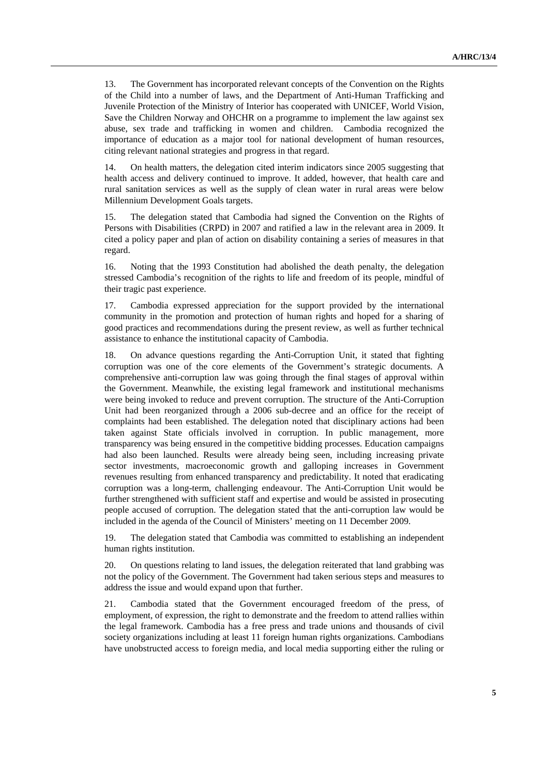13. The Government has incorporated relevant concepts of the Convention on the Rights of the Child into a number of laws, and the Department of Anti-Human Trafficking and Juvenile Protection of the Ministry of Interior has cooperated with UNICEF, World Vision, Save the Children Norway and OHCHR on a programme to implement the law against sex abuse, sex trade and trafficking in women and children. Cambodia recognized the importance of education as a major tool for national development of human resources, citing relevant national strategies and progress in that regard.

14. On health matters, the delegation cited interim indicators since 2005 suggesting that health access and delivery continued to improve. It added, however, that health care and rural sanitation services as well as the supply of clean water in rural areas were below Millennium Development Goals targets.

15. The delegation stated that Cambodia had signed the Convention on the Rights of Persons with Disabilities (CRPD) in 2007 and ratified a law in the relevant area in 2009. It cited a policy paper and plan of action on disability containing a series of measures in that regard.

16. Noting that the 1993 Constitution had abolished the death penalty, the delegation stressed Cambodia's recognition of the rights to life and freedom of its people, mindful of their tragic past experience.

17. Cambodia expressed appreciation for the support provided by the international community in the promotion and protection of human rights and hoped for a sharing of good practices and recommendations during the present review, as well as further technical assistance to enhance the institutional capacity of Cambodia.

18. On advance questions regarding the Anti-Corruption Unit, it stated that fighting corruption was one of the core elements of the Government's strategic documents. A comprehensive anti-corruption law was going through the final stages of approval within the Government. Meanwhile, the existing legal framework and institutional mechanisms were being invoked to reduce and prevent corruption. The structure of the Anti-Corruption Unit had been reorganized through a 2006 sub-decree and an office for the receipt of complaints had been established. The delegation noted that disciplinary actions had been taken against State officials involved in corruption. In public management, more transparency was being ensured in the competitive bidding processes. Education campaigns had also been launched. Results were already being seen, including increasing private sector investments, macroeconomic growth and galloping increases in Government revenues resulting from enhanced transparency and predictability. It noted that eradicating corruption was a long-term, challenging endeavour. The Anti-Corruption Unit would be further strengthened with sufficient staff and expertise and would be assisted in prosecuting people accused of corruption. The delegation stated that the anti-corruption law would be included in the agenda of the Council of Ministers' meeting on 11 December 2009.

19. The delegation stated that Cambodia was committed to establishing an independent human rights institution.

20. On questions relating to land issues, the delegation reiterated that land grabbing was not the policy of the Government. The Government had taken serious steps and measures to address the issue and would expand upon that further.

21. Cambodia stated that the Government encouraged freedom of the press, of employment, of expression, the right to demonstrate and the freedom to attend rallies within the legal framework. Cambodia has a free press and trade unions and thousands of civil society organizations including at least 11 foreign human rights organizations. Cambodians have unobstructed access to foreign media, and local media supporting either the ruling or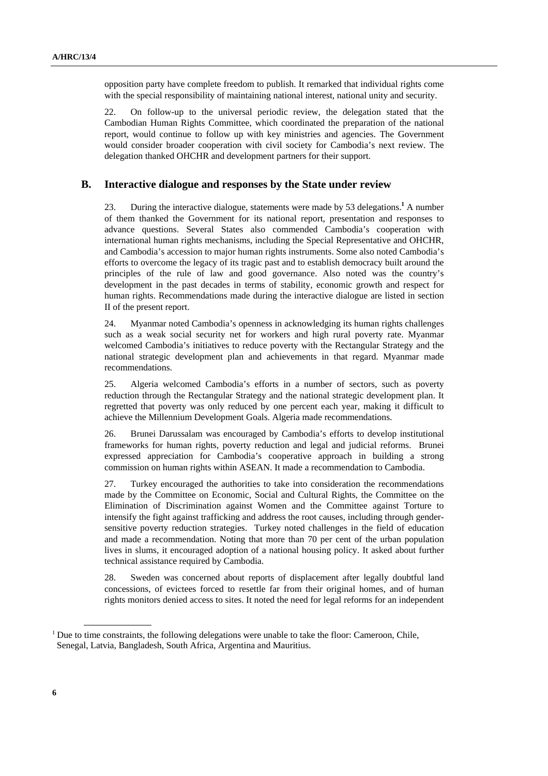opposition party have complete freedom to publish. It remarked that individual rights come with the special responsibility of maintaining national interest, national unity and security.

22. On follow-up to the universal periodic review, the delegation stated that the Cambodian Human Rights Committee, which coordinated the preparation of the national report, would continue to follow up with key ministries and agencies. The Government would consider broader cooperation with civil society for Cambodia's next review. The delegation thanked OHCHR and development partners for their support.

#### **B. Interactive dialogue and responses by the State under review**

23. During the interactive dialogue, statements were made by 53 delegations.<sup>1</sup> A number of them thanked the Government for its national report, presentation and responses to advance questions. Several States also commended Cambodia's cooperation with international human rights mechanisms, including the Special Representative and OHCHR, and Cambodia's accession to major human rights instruments. Some also noted Cambodia's efforts to overcome the legacy of its tragic past and to establish democracy built around the principles of the rule of law and good governance. Also noted was the country's development in the past decades in terms of stability, economic growth and respect for human rights. Recommendations made during the interactive dialogue are listed in section II of the present report.

24. Myanmar noted Cambodia's openness in acknowledging its human rights challenges such as a weak social security net for workers and high rural poverty rate. Myanmar welcomed Cambodia's initiatives to reduce poverty with the Rectangular Strategy and the national strategic development plan and achievements in that regard. Myanmar made recommendations.

25. Algeria welcomed Cambodia's efforts in a number of sectors, such as poverty reduction through the Rectangular Strategy and the national strategic development plan. It regretted that poverty was only reduced by one percent each year, making it difficult to achieve the Millennium Development Goals. Algeria made recommendations.

26. Brunei Darussalam was encouraged by Cambodia's efforts to develop institutional frameworks for human rights, poverty reduction and legal and judicial reforms. Brunei expressed appreciation for Cambodia's cooperative approach in building a strong commission on human rights within ASEAN. It made a recommendation to Cambodia.

27. Turkey encouraged the authorities to take into consideration the recommendations made by the Committee on Economic, Social and Cultural Rights, the Committee on the Elimination of Discrimination against Women and the Committee against Torture to intensify the fight against trafficking and address the root causes, including through gendersensitive poverty reduction strategies. Turkey noted challenges in the field of education and made a recommendation. Noting that more than 70 per cent of the urban population lives in slums, it encouraged adoption of a national housing policy. It asked about further technical assistance required by Cambodia.

28. Sweden was concerned about reports of displacement after legally doubtful land concessions, of evictees forced to resettle far from their original homes, and of human rights monitors denied access to sites. It noted the need for legal reforms for an independent

 $<sup>1</sup>$  Due to time constraints, the following delegations were unable to take the floor: Cameroon, Chile,</sup> Senegal, Latvia, Bangladesh, South Africa, Argentina and Mauritius.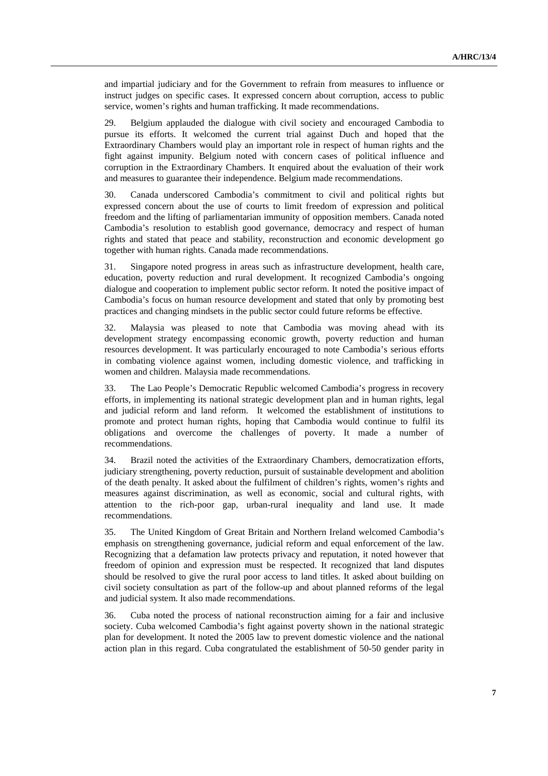and impartial judiciary and for the Government to refrain from measures to influence or instruct judges on specific cases. It expressed concern about corruption, access to public service, women's rights and human trafficking. It made recommendations.

29. Belgium applauded the dialogue with civil society and encouraged Cambodia to pursue its efforts. It welcomed the current trial against Duch and hoped that the Extraordinary Chambers would play an important role in respect of human rights and the fight against impunity. Belgium noted with concern cases of political influence and corruption in the Extraordinary Chambers. It enquired about the evaluation of their work and measures to guarantee their independence. Belgium made recommendations.

30. Canada underscored Cambodia's commitment to civil and political rights but expressed concern about the use of courts to limit freedom of expression and political freedom and the lifting of parliamentarian immunity of opposition members. Canada noted Cambodia's resolution to establish good governance, democracy and respect of human rights and stated that peace and stability, reconstruction and economic development go together with human rights. Canada made recommendations.

31. Singapore noted progress in areas such as infrastructure development, health care, education, poverty reduction and rural development. It recognized Cambodia's ongoing dialogue and cooperation to implement public sector reform. It noted the positive impact of Cambodia's focus on human resource development and stated that only by promoting best practices and changing mindsets in the public sector could future reforms be effective.

32. Malaysia was pleased to note that Cambodia was moving ahead with its development strategy encompassing economic growth, poverty reduction and human resources development. It was particularly encouraged to note Cambodia's serious efforts in combating violence against women, including domestic violence, and trafficking in women and children. Malaysia made recommendations.

33. The Lao People's Democratic Republic welcomed Cambodia's progress in recovery efforts, in implementing its national strategic development plan and in human rights, legal and judicial reform and land reform. It welcomed the establishment of institutions to promote and protect human rights, hoping that Cambodia would continue to fulfil its obligations and overcome the challenges of poverty. It made a number of recommendations.

34. Brazil noted the activities of the Extraordinary Chambers, democratization efforts, judiciary strengthening, poverty reduction, pursuit of sustainable development and abolition of the death penalty. It asked about the fulfilment of children's rights, women's rights and measures against discrimination, as well as economic, social and cultural rights, with attention to the rich-poor gap, urban-rural inequality and land use. It made recommendations.

35. The United Kingdom of Great Britain and Northern Ireland welcomed Cambodia's emphasis on strengthening governance, judicial reform and equal enforcement of the law. Recognizing that a defamation law protects privacy and reputation, it noted however that freedom of opinion and expression must be respected. It recognized that land disputes should be resolved to give the rural poor access to land titles. It asked about building on civil society consultation as part of the follow-up and about planned reforms of the legal and judicial system. It also made recommendations.

36. Cuba noted the process of national reconstruction aiming for a fair and inclusive society. Cuba welcomed Cambodia's fight against poverty shown in the national strategic plan for development. It noted the 2005 law to prevent domestic violence and the national action plan in this regard. Cuba congratulated the establishment of 50-50 gender parity in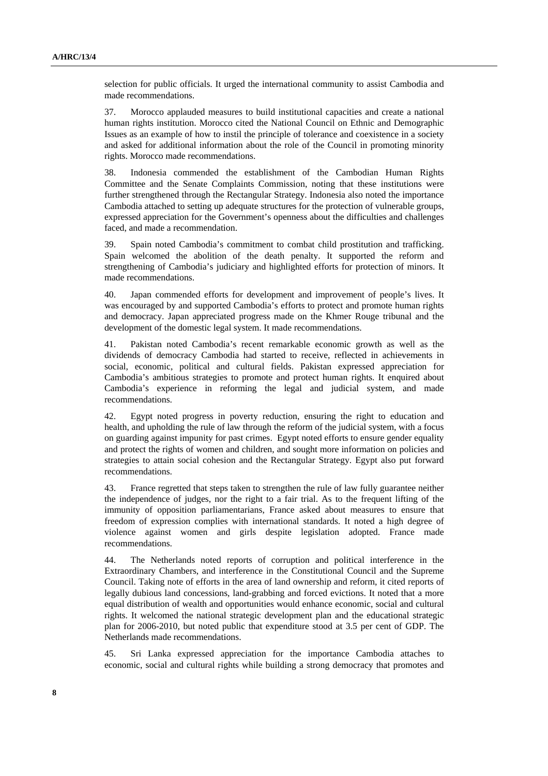selection for public officials. It urged the international community to assist Cambodia and made recommendations.

37. Morocco applauded measures to build institutional capacities and create a national human rights institution. Morocco cited the National Council on Ethnic and Demographic Issues as an example of how to instil the principle of tolerance and coexistence in a society and asked for additional information about the role of the Council in promoting minority rights. Morocco made recommendations.

38. Indonesia commended the establishment of the Cambodian Human Rights Committee and the Senate Complaints Commission, noting that these institutions were further strengthened through the Rectangular Strategy. Indonesia also noted the importance Cambodia attached to setting up adequate structures for the protection of vulnerable groups, expressed appreciation for the Government's openness about the difficulties and challenges faced, and made a recommendation.

39. Spain noted Cambodia's commitment to combat child prostitution and trafficking. Spain welcomed the abolition of the death penalty. It supported the reform and strengthening of Cambodia's judiciary and highlighted efforts for protection of minors. It made recommendations.

40. Japan commended efforts for development and improvement of people's lives. It was encouraged by and supported Cambodia's efforts to protect and promote human rights and democracy. Japan appreciated progress made on the Khmer Rouge tribunal and the development of the domestic legal system. It made recommendations.

41. Pakistan noted Cambodia's recent remarkable economic growth as well as the dividends of democracy Cambodia had started to receive, reflected in achievements in social, economic, political and cultural fields. Pakistan expressed appreciation for Cambodia's ambitious strategies to promote and protect human rights. It enquired about Cambodia's experience in reforming the legal and judicial system, and made recommendations.

42. Egypt noted progress in poverty reduction, ensuring the right to education and health, and upholding the rule of law through the reform of the judicial system, with a focus on guarding against impunity for past crimes. Egypt noted efforts to ensure gender equality and protect the rights of women and children, and sought more information on policies and strategies to attain social cohesion and the Rectangular Strategy. Egypt also put forward recommendations.

43. France regretted that steps taken to strengthen the rule of law fully guarantee neither the independence of judges, nor the right to a fair trial. As to the frequent lifting of the immunity of opposition parliamentarians, France asked about measures to ensure that freedom of expression complies with international standards. It noted a high degree of violence against women and girls despite legislation adopted. France made recommendations.

44. The Netherlands noted reports of corruption and political interference in the Extraordinary Chambers, and interference in the Constitutional Council and the Supreme Council. Taking note of efforts in the area of land ownership and reform, it cited reports of legally dubious land concessions, land-grabbing and forced evictions. It noted that a more equal distribution of wealth and opportunities would enhance economic, social and cultural rights. It welcomed the national strategic development plan and the educational strategic plan for 2006-2010, but noted public that expenditure stood at 3.5 per cent of GDP. The Netherlands made recommendations.

45. Sri Lanka expressed appreciation for the importance Cambodia attaches to economic, social and cultural rights while building a strong democracy that promotes and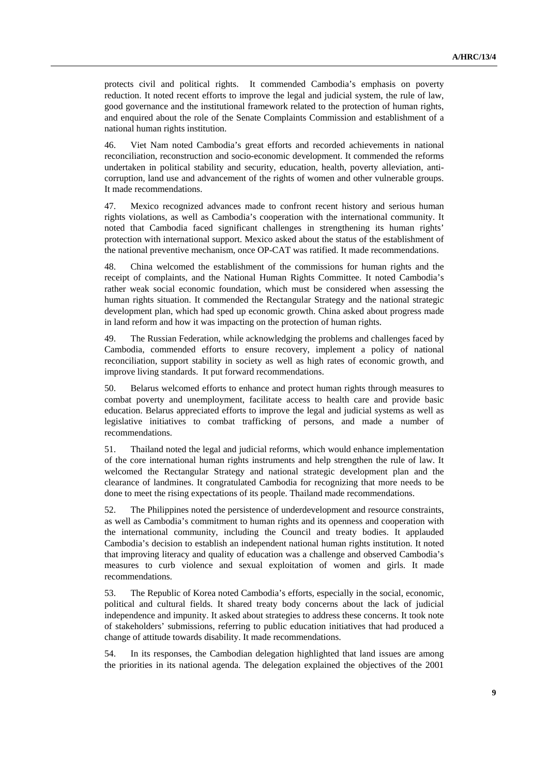protects civil and political rights. It commended Cambodia's emphasis on poverty reduction. It noted recent efforts to improve the legal and judicial system, the rule of law, good governance and the institutional framework related to the protection of human rights, and enquired about the role of the Senate Complaints Commission and establishment of a national human rights institution.

46. Viet Nam noted Cambodia's great efforts and recorded achievements in national reconciliation, reconstruction and socio-economic development. It commended the reforms undertaken in political stability and security, education, health, poverty alleviation, anticorruption, land use and advancement of the rights of women and other vulnerable groups. It made recommendations.

47. Mexico recognized advances made to confront recent history and serious human rights violations, as well as Cambodia's cooperation with the international community. It noted that Cambodia faced significant challenges in strengthening its human rights' protection with international support. Mexico asked about the status of the establishment of the national preventive mechanism, once OP-CAT was ratified. It made recommendations.

48. China welcomed the establishment of the commissions for human rights and the receipt of complaints, and the National Human Rights Committee. It noted Cambodia's rather weak social economic foundation, which must be considered when assessing the human rights situation. It commended the Rectangular Strategy and the national strategic development plan, which had sped up economic growth. China asked about progress made in land reform and how it was impacting on the protection of human rights.

49. The Russian Federation, while acknowledging the problems and challenges faced by Cambodia, commended efforts to ensure recovery, implement a policy of national reconciliation, support stability in society as well as high rates of economic growth, and improve living standards. It put forward recommendations.

50. Belarus welcomed efforts to enhance and protect human rights through measures to combat poverty and unemployment, facilitate access to health care and provide basic education. Belarus appreciated efforts to improve the legal and judicial systems as well as legislative initiatives to combat trafficking of persons, and made a number of recommendations.

51. Thailand noted the legal and judicial reforms, which would enhance implementation of the core international human rights instruments and help strengthen the rule of law. It welcomed the Rectangular Strategy and national strategic development plan and the clearance of landmines. It congratulated Cambodia for recognizing that more needs to be done to meet the rising expectations of its people. Thailand made recommendations.

52. The Philippines noted the persistence of underdevelopment and resource constraints, as well as Cambodia's commitment to human rights and its openness and cooperation with the international community, including the Council and treaty bodies. It applauded Cambodia's decision to establish an independent national human rights institution. It noted that improving literacy and quality of education was a challenge and observed Cambodia's measures to curb violence and sexual exploitation of women and girls. It made recommendations.

53. The Republic of Korea noted Cambodia's efforts, especially in the social, economic, political and cultural fields. It shared treaty body concerns about the lack of judicial independence and impunity. It asked about strategies to address these concerns. It took note of stakeholders' submissions, referring to public education initiatives that had produced a change of attitude towards disability. It made recommendations.

54. In its responses, the Cambodian delegation highlighted that land issues are among the priorities in its national agenda. The delegation explained the objectives of the 2001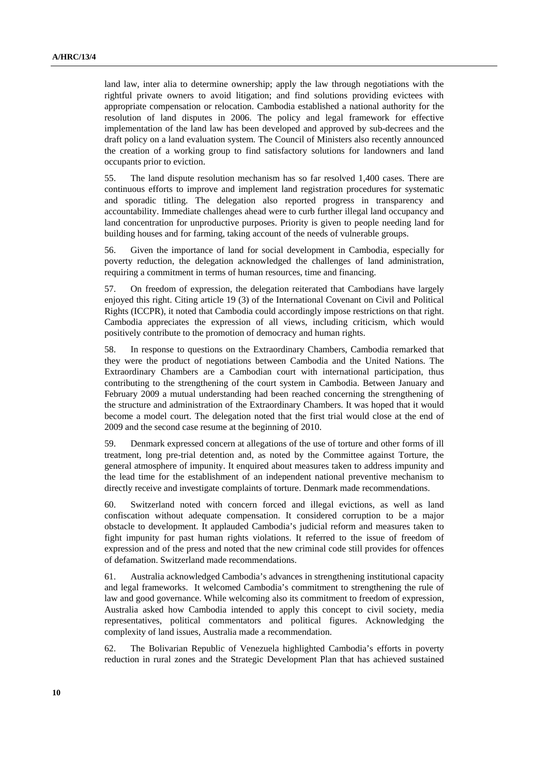land law, inter alia to determine ownership; apply the law through negotiations with the rightful private owners to avoid litigation; and find solutions providing evictees with appropriate compensation or relocation. Cambodia established a national authority for the resolution of land disputes in 2006. The policy and legal framework for effective implementation of the land law has been developed and approved by sub-decrees and the draft policy on a land evaluation system. The Council of Ministers also recently announced the creation of a working group to find satisfactory solutions for landowners and land occupants prior to eviction.

55. The land dispute resolution mechanism has so far resolved 1,400 cases. There are continuous efforts to improve and implement land registration procedures for systematic and sporadic titling. The delegation also reported progress in transparency and accountability. Immediate challenges ahead were to curb further illegal land occupancy and land concentration for unproductive purposes. Priority is given to people needing land for building houses and for farming, taking account of the needs of vulnerable groups.

56. Given the importance of land for social development in Cambodia, especially for poverty reduction, the delegation acknowledged the challenges of land administration, requiring a commitment in terms of human resources, time and financing.

57. On freedom of expression, the delegation reiterated that Cambodians have largely enjoyed this right. Citing article 19 (3) of the International Covenant on Civil and Political Rights (ICCPR), it noted that Cambodia could accordingly impose restrictions on that right. Cambodia appreciates the expression of all views, including criticism, which would positively contribute to the promotion of democracy and human rights.

58. In response to questions on the Extraordinary Chambers, Cambodia remarked that they were the product of negotiations between Cambodia and the United Nations. The Extraordinary Chambers are a Cambodian court with international participation, thus contributing to the strengthening of the court system in Cambodia. Between January and February 2009 a mutual understanding had been reached concerning the strengthening of the structure and administration of the Extraordinary Chambers. It was hoped that it would become a model court. The delegation noted that the first trial would close at the end of 2009 and the second case resume at the beginning of 2010.

59. Denmark expressed concern at allegations of the use of torture and other forms of ill treatment, long pre-trial detention and, as noted by the Committee against Torture, the general atmosphere of impunity. It enquired about measures taken to address impunity and the lead time for the establishment of an independent national preventive mechanism to directly receive and investigate complaints of torture. Denmark made recommendations.

60. Switzerland noted with concern forced and illegal evictions, as well as land confiscation without adequate compensation. It considered corruption to be a major obstacle to development. It applauded Cambodia's judicial reform and measures taken to fight impunity for past human rights violations. It referred to the issue of freedom of expression and of the press and noted that the new criminal code still provides for offences of defamation. Switzerland made recommendations.

61. Australia acknowledged Cambodia's advances in strengthening institutional capacity and legal frameworks. It welcomed Cambodia's commitment to strengthening the rule of law and good governance. While welcoming also its commitment to freedom of expression, Australia asked how Cambodia intended to apply this concept to civil society, media representatives, political commentators and political figures. Acknowledging the complexity of land issues, Australia made a recommendation.

62. The Bolivarian Republic of Venezuela highlighted Cambodia's efforts in poverty reduction in rural zones and the Strategic Development Plan that has achieved sustained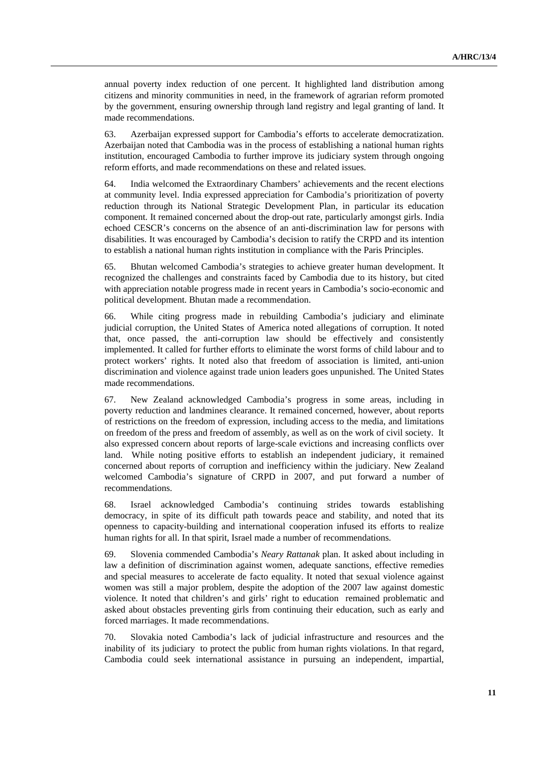annual poverty index reduction of one percent. It highlighted land distribution among citizens and minority communities in need, in the framework of agrarian reform promoted by the government, ensuring ownership through land registry and legal granting of land. It made recommendations.

63. Azerbaijan expressed support for Cambodia's efforts to accelerate democratization. Azerbaijan noted that Cambodia was in the process of establishing a national human rights institution, encouraged Cambodia to further improve its judiciary system through ongoing reform efforts, and made recommendations on these and related issues.

64. India welcomed the Extraordinary Chambers' achievements and the recent elections at community level. India expressed appreciation for Cambodia's prioritization of poverty reduction through its National Strategic Development Plan, in particular its education component. It remained concerned about the drop-out rate, particularly amongst girls. India echoed CESCR's concerns on the absence of an anti-discrimination law for persons with disabilities. It was encouraged by Cambodia's decision to ratify the CRPD and its intention to establish a national human rights institution in compliance with the Paris Principles.

65. Bhutan welcomed Cambodia's strategies to achieve greater human development. It recognized the challenges and constraints faced by Cambodia due to its history, but cited with appreciation notable progress made in recent years in Cambodia's socio-economic and political development. Bhutan made a recommendation.

66. While citing progress made in rebuilding Cambodia's judiciary and eliminate judicial corruption, the United States of America noted allegations of corruption. It noted that, once passed, the anti-corruption law should be effectively and consistently implemented. It called for further efforts to eliminate the worst forms of child labour and to protect workers' rights. It noted also that freedom of association is limited, anti-union discrimination and violence against trade union leaders goes unpunished. The United States made recommendations.

67. New Zealand acknowledged Cambodia's progress in some areas, including in poverty reduction and landmines clearance. It remained concerned, however, about reports of restrictions on the freedom of expression, including access to the media, and limitations on freedom of the press and freedom of assembly, as well as on the work of civil society. It also expressed concern about reports of large-scale evictions and increasing conflicts over land. While noting positive efforts to establish an independent judiciary, it remained concerned about reports of corruption and inefficiency within the judiciary. New Zealand welcomed Cambodia's signature of CRPD in 2007, and put forward a number of recommendations.

68. Israel acknowledged Cambodia's continuing strides towards establishing democracy, in spite of its difficult path towards peace and stability, and noted that its openness to capacity-building and international cooperation infused its efforts to realize human rights for all. In that spirit, Israel made a number of recommendations.

69. Slovenia commended Cambodia's *Neary Rattanak* plan. It asked about including in law a definition of discrimination against women, adequate sanctions, effective remedies and special measures to accelerate de facto equality. It noted that sexual violence against women was still a major problem, despite the adoption of the 2007 law against domestic violence. It noted that children's and girls' right to education remained problematic and asked about obstacles preventing girls from continuing their education, such as early and forced marriages. It made recommendations.

70. Slovakia noted Cambodia's lack of judicial infrastructure and resources and the inability of its judiciary to protect the public from human rights violations. In that regard, Cambodia could seek international assistance in pursuing an independent, impartial,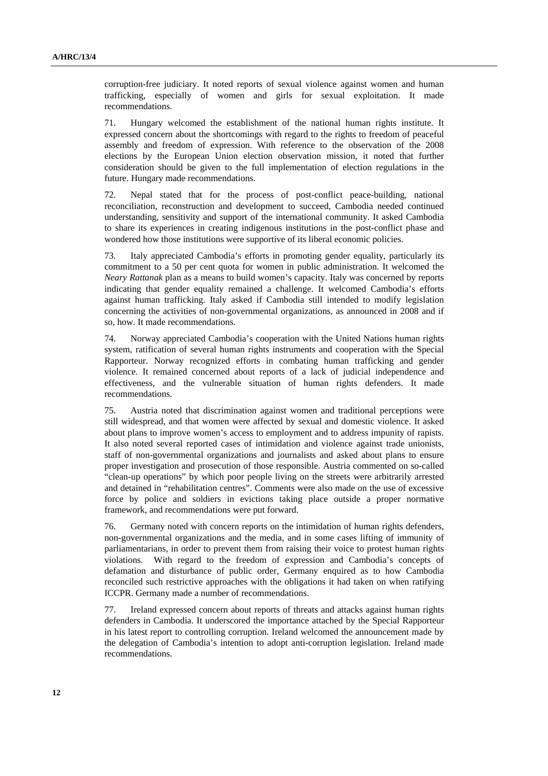corruption-free judiciary. It noted reports of sexual violence against women and human trafficking, especially of women and girls for sexual exploitation. It made recommendations.

71. Hungary welcomed the establishment of the national human rights institute. It expressed concern about the shortcomings with regard to the rights to freedom of peaceful assembly and freedom of expression. With reference to the observation of the 2008 elections by the European Union election observation mission, it noted that further consideration should be given to the full implementation of election regulations in the future. Hungary made recommendations.

72. Nepal stated that for the process of post-conflict peace-building, national reconciliation, reconstruction and development to succeed, Cambodia needed continued understanding, sensitivity and support of the international community. It asked Cambodia to share its experiences in creating indigenous institutions in the post-conflict phase and wondered how those institutions were supportive of its liberal economic policies.

73. Italy appreciated Cambodia's efforts in promoting gender equality, particularly its commitment to a 50 per cent quota for women in public administration. It welcomed the *Neary Rattanak* plan as a means to build women's capacity. Italy was concerned by reports indicating that gender equality remained a challenge. It welcomed Cambodia's efforts against human trafficking. Italy asked if Cambodia still intended to modify legislation concerning the activities of non-governmental organizations, as announced in 2008 and if so, how. It made recommendations.

74. Norway appreciated Cambodia's cooperation with the United Nations human rights system, ratification of several human rights instruments and cooperation with the Special Rapporteur. Norway recognized efforts in combating human trafficking and gender violence. It remained concerned about reports of a lack of judicial independence and effectiveness, and the vulnerable situation of human rights defenders. It made recommendations.

75. Austria noted that discrimination against women and traditional perceptions were still widespread, and that women were affected by sexual and domestic violence. It asked about plans to improve women's access to employment and to address impunity of rapists. It also noted several reported cases of intimidation and violence against trade unionists, staff of non-governmental organizations and journalists and asked about plans to ensure proper investigation and prosecution of those responsible. Austria commented on so-called "clean-up operations" by which poor people living on the streets were arbitrarily arrested and detained in "rehabilitation centres". Comments were also made on the use of excessive force by police and soldiers in evictions taking place outside a proper normative framework, and recommendations were put forward.

76. Germany noted with concern reports on the intimidation of human rights defenders, non-governmental organizations and the media, and in some cases lifting of immunity of parliamentarians, in order to prevent them from raising their voice to protest human rights violations. With regard to the freedom of expression and Cambodia's concepts of defamation and disturbance of public order, Germany enquired as to how Cambodia reconciled such restrictive approaches with the obligations it had taken on when ratifying ICCPR. Germany made a number of recommendations.

77. Ireland expressed concern about reports of threats and attacks against human rights defenders in Cambodia. It underscored the importance attached by the Special Rapporteur in his latest report to controlling corruption. Ireland welcomed the announcement made by the delegation of Cambodia's intention to adopt anti-corruption legislation. Ireland made recommendations.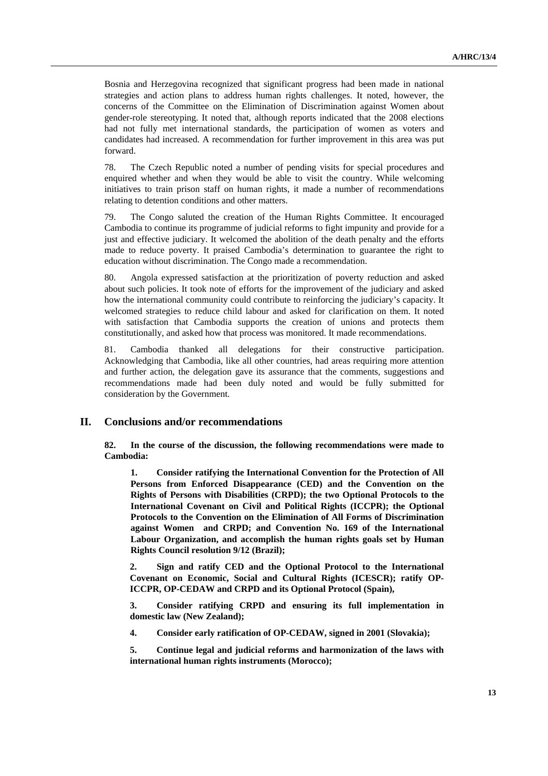Bosnia and Herzegovina recognized that significant progress had been made in national strategies and action plans to address human rights challenges. It noted, however, the concerns of the Committee on the Elimination of Discrimination against Women about gender-role stereotyping. It noted that, although reports indicated that the 2008 elections had not fully met international standards, the participation of women as voters and candidates had increased. A recommendation for further improvement in this area was put forward.

78. The Czech Republic noted a number of pending visits for special procedures and enquired whether and when they would be able to visit the country. While welcoming initiatives to train prison staff on human rights, it made a number of recommendations relating to detention conditions and other matters.

79. The Congo saluted the creation of the Human Rights Committee. It encouraged Cambodia to continue its programme of judicial reforms to fight impunity and provide for a just and effective judiciary. It welcomed the abolition of the death penalty and the efforts made to reduce poverty. It praised Cambodia's determination to guarantee the right to education without discrimination. The Congo made a recommendation.

80. Angola expressed satisfaction at the prioritization of poverty reduction and asked about such policies. It took note of efforts for the improvement of the judiciary and asked how the international community could contribute to reinforcing the judiciary's capacity. It welcomed strategies to reduce child labour and asked for clarification on them. It noted with satisfaction that Cambodia supports the creation of unions and protects them constitutionally, and asked how that process was monitored. It made recommendations.

81. Cambodia thanked all delegations for their constructive participation. Acknowledging that Cambodia, like all other countries, had areas requiring more attention and further action, the delegation gave its assurance that the comments, suggestions and recommendations made had been duly noted and would be fully submitted for consideration by the Government.

#### **II. Conclusions and/or recommendations**

**82. In the course of the discussion, the following recommendations were made to Cambodia:** 

**1. Consider ratifying the International Convention for the Protection of All Persons from Enforced Disappearance (CED) and the Convention on the Rights of Persons with Disabilities (CRPD); the two Optional Protocols to the International Covenant on Civil and Political Rights (ICCPR); the Optional Protocols to the Convention on the Elimination of All Forms of Discrimination against Women and CRPD; and Convention No. 169 of the International Labour Organization, and accomplish the human rights goals set by Human Rights Council resolution 9/12 (Brazil);** 

**2. Sign and ratify CED and the Optional Protocol to the International Covenant on Economic, Social and Cultural Rights (ICESCR); ratify OP-ICCPR, OP-CEDAW and CRPD and its Optional Protocol (Spain),** 

**3. Consider ratifying CRPD and ensuring its full implementation in domestic law (New Zealand);** 

**4. Consider early ratification of OP-CEDAW, signed in 2001 (Slovakia);** 

**5. Continue legal and judicial reforms and harmonization of the laws with international human rights instruments (Morocco);**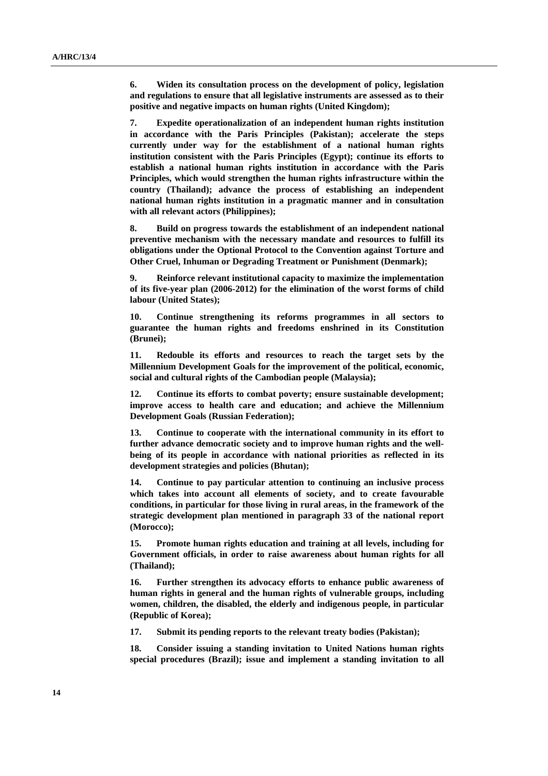**6. Widen its consultation process on the development of policy, legislation and regulations to ensure that all legislative instruments are assessed as to their positive and negative impacts on human rights (United Kingdom);** 

**7. Expedite operationalization of an independent human rights institution in accordance with the Paris Principles (Pakistan); accelerate the steps currently under way for the establishment of a national human rights institution consistent with the Paris Principles (Egypt); continue its efforts to establish a national human rights institution in accordance with the Paris Principles, which would strengthen the human rights infrastructure within the country (Thailand); advance the process of establishing an independent national human rights institution in a pragmatic manner and in consultation with all relevant actors (Philippines);** 

**8. Build on progress towards the establishment of an independent national preventive mechanism with the necessary mandate and resources to fulfill its obligations under the Optional Protocol to the Convention against Torture and Other Cruel, Inhuman or Degrading Treatment or Punishment (Denmark);** 

**9. Reinforce relevant institutional capacity to maximize the implementation of its five-year plan (2006-2012) for the elimination of the worst forms of child labour (United States);** 

**10. Continue strengthening its reforms programmes in all sectors to guarantee the human rights and freedoms enshrined in its Constitution (Brunei);** 

**11. Redouble its efforts and resources to reach the target sets by the Millennium Development Goals for the improvement of the political, economic, social and cultural rights of the Cambodian people (Malaysia);** 

**12. Continue its efforts to combat poverty; ensure sustainable development; improve access to health care and education; and achieve the Millennium Development Goals (Russian Federation);** 

**13. Continue to cooperate with the international community in its effort to further advance democratic society and to improve human rights and the wellbeing of its people in accordance with national priorities as reflected in its development strategies and policies (Bhutan);** 

**14. Continue to pay particular attention to continuing an inclusive process which takes into account all elements of society, and to create favourable conditions, in particular for those living in rural areas, in the framework of the strategic development plan mentioned in paragraph 33 of the national report (Morocco);** 

**15. Promote human rights education and training at all levels, including for Government officials, in order to raise awareness about human rights for all (Thailand);** 

**16. Further strengthen its advocacy efforts to enhance public awareness of human rights in general and the human rights of vulnerable groups, including women, children, the disabled, the elderly and indigenous people, in particular (Republic of Korea);** 

**17. Submit its pending reports to the relevant treaty bodies (Pakistan);** 

**18. Consider issuing a standing invitation to United Nations human rights special procedures (Brazil); issue and implement a standing invitation to all**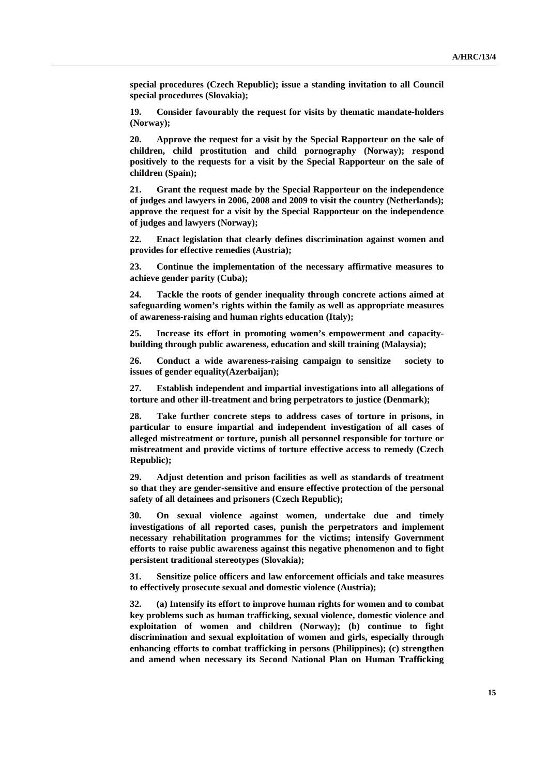**special procedures (Czech Republic); issue a standing invitation to all Council special procedures (Slovakia);** 

**19. Consider favourably the request for visits by thematic mandate-holders (Norway);** 

**20. Approve the request for a visit by the Special Rapporteur on the sale of children, child prostitution and child pornography (Norway); respond positively to the requests for a visit by the Special Rapporteur on the sale of children (Spain);** 

**21. Grant the request made by the Special Rapporteur on the independence of judges and lawyers in 2006, 2008 and 2009 to visit the country (Netherlands); approve the request for a visit by the Special Rapporteur on the independence of judges and lawyers (Norway);** 

**22. Enact legislation that clearly defines discrimination against women and provides for effective remedies (Austria);** 

**23. Continue the implementation of the necessary affirmative measures to achieve gender parity (Cuba);** 

**24. Tackle the roots of gender inequality through concrete actions aimed at safeguarding women's rights within the family as well as appropriate measures of awareness-raising and human rights education (Italy);** 

**25. Increase its effort in promoting women's empowerment and capacitybuilding through public awareness, education and skill training (Malaysia);** 

**26. Conduct a wide awareness-raising campaign to sensitize society to issues of gender equality(Azerbaijan);** 

**27. Establish independent and impartial investigations into all allegations of torture and other ill-treatment and bring perpetrators to justice (Denmark);** 

**28. Take further concrete steps to address cases of torture in prisons, in particular to ensure impartial and independent investigation of all cases of alleged mistreatment or torture, punish all personnel responsible for torture or mistreatment and provide victims of torture effective access to remedy (Czech Republic);** 

**29. Adjust detention and prison facilities as well as standards of treatment so that they are gender-sensitive and ensure effective protection of the personal safety of all detainees and prisoners (Czech Republic);** 

**30. On sexual violence against women, undertake due and timely investigations of all reported cases, punish the perpetrators and implement necessary rehabilitation programmes for the victims; intensify Government efforts to raise public awareness against this negative phenomenon and to fight persistent traditional stereotypes (Slovakia);** 

**31. Sensitize police officers and law enforcement officials and take measures to effectively prosecute sexual and domestic violence (Austria);** 

**32. (a) Intensify its effort to improve human rights for women and to combat key problems such as human trafficking, sexual violence, domestic violence and exploitation of women and children (Norway); (b) continue to fight discrimination and sexual exploitation of women and girls, especially through enhancing efforts to combat trafficking in persons (Philippines); (c) strengthen and amend when necessary its Second National Plan on Human Trafficking**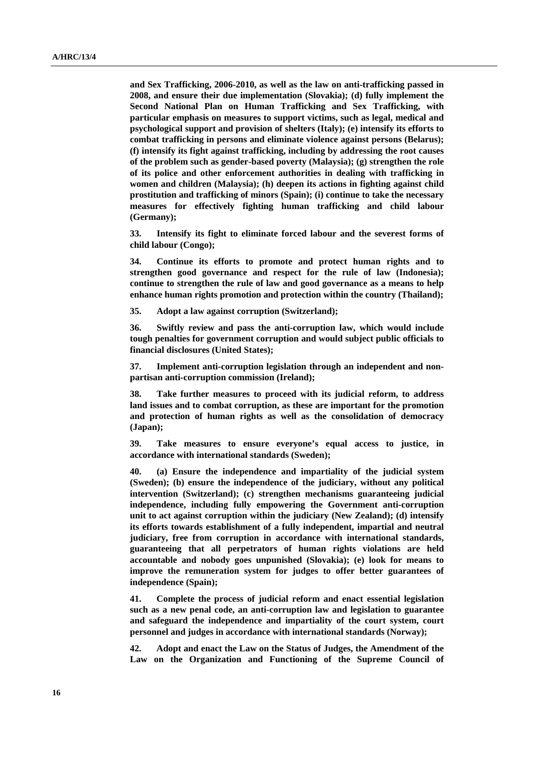**and Sex Trafficking, 2006-2010, as well as the law on anti-trafficking passed in 2008, and ensure their due implementation (Slovakia); (d) fully implement the Second National Plan on Human Trafficking and Sex Trafficking, with particular emphasis on measures to support victims, such as legal, medical and psychological support and provision of shelters (Italy); (e) intensify its efforts to combat trafficking in persons and eliminate violence against persons (Belarus); (f) intensify its fight against trafficking, including by addressing the root causes of the problem such as gender-based poverty (Malaysia); (g) strengthen the role of its police and other enforcement authorities in dealing with trafficking in women and children (Malaysia); (h) deepen its actions in fighting against child prostitution and trafficking of minors (Spain); (i) continue to take the necessary measures for effectively fighting human trafficking and child labour (Germany);** 

**33. Intensify its fight to eliminate forced labour and the severest forms of child labour (Congo);** 

**34. Continue its efforts to promote and protect human rights and to strengthen good governance and respect for the rule of law (Indonesia); continue to strengthen the rule of law and good governance as a means to help enhance human rights promotion and protection within the country (Thailand);** 

**35. Adopt a law against corruption (Switzerland);** 

**36. Swiftly review and pass the anti-corruption law, which would include tough penalties for government corruption and would subject public officials to financial disclosures (United States);** 

**37. Implement anti-corruption legislation through an independent and nonpartisan anti-corruption commission (Ireland);** 

**38. Take further measures to proceed with its judicial reform, to address land issues and to combat corruption, as these are important for the promotion and protection of human rights as well as the consolidation of democracy (Japan);** 

**39. Take measures to ensure everyone's equal access to justice, in accordance with international standards (Sweden);** 

**40. (a) Ensure the independence and impartiality of the judicial system (Sweden); (b) ensure the independence of the judiciary, without any political intervention (Switzerland); (c) strengthen mechanisms guaranteeing judicial independence, including fully empowering the Government anti-corruption unit to act against corruption within the judiciary (New Zealand); (d) intensify its efforts towards establishment of a fully independent, impartial and neutral judiciary, free from corruption in accordance with international standards, guaranteeing that all perpetrators of human rights violations are held accountable and nobody goes unpunished (Slovakia); (e) look for means to improve the remuneration system for judges to offer better guarantees of independence (Spain);** 

**41. Complete the process of judicial reform and enact essential legislation such as a new penal code, an anti-corruption law and legislation to guarantee and safeguard the independence and impartiality of the court system, court personnel and judges in accordance with international standards (Norway);** 

**42. Adopt and enact the Law on the Status of Judges, the Amendment of the Law on the Organization and Functioning of the Supreme Council of**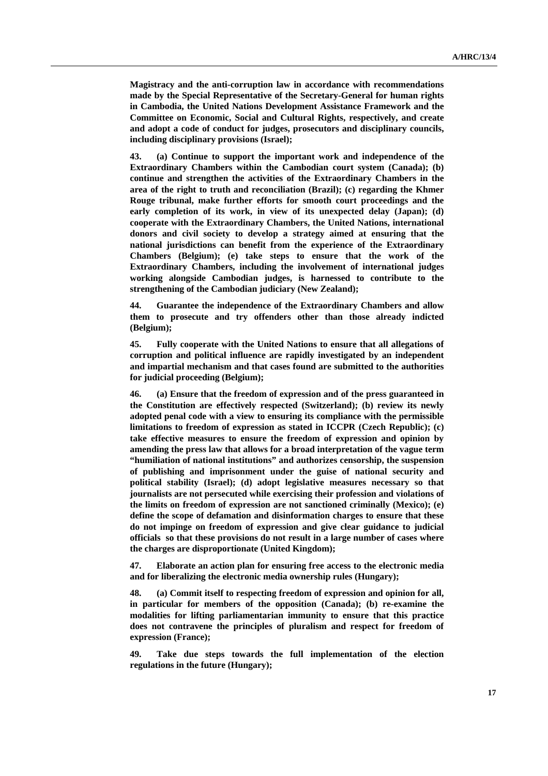**Magistracy and the anti-corruption law in accordance with recommendations made by the Special Representative of the Secretary-General for human rights in Cambodia, the United Nations Development Assistance Framework and the Committee on Economic, Social and Cultural Rights, respectively, and create and adopt a code of conduct for judges, prosecutors and disciplinary councils, including disciplinary provisions (Israel);** 

**43. (a) Continue to support the important work and independence of the Extraordinary Chambers within the Cambodian court system (Canada); (b) continue and strengthen the activities of the Extraordinary Chambers in the area of the right to truth and reconciliation (Brazil); (c) regarding the Khmer Rouge tribunal, make further efforts for smooth court proceedings and the early completion of its work, in view of its unexpected delay (Japan); (d) cooperate with the Extraordinary Chambers, the United Nations, international donors and civil society to develop a strategy aimed at ensuring that the national jurisdictions can benefit from the experience of the Extraordinary Chambers (Belgium); (e) take steps to ensure that the work of the Extraordinary Chambers, including the involvement of international judges working alongside Cambodian judges, is harnessed to contribute to the strengthening of the Cambodian judiciary (New Zealand);** 

**44. Guarantee the independence of the Extraordinary Chambers and allow them to prosecute and try offenders other than those already indicted (Belgium);** 

**45. Fully cooperate with the United Nations to ensure that all allegations of corruption and political influence are rapidly investigated by an independent and impartial mechanism and that cases found are submitted to the authorities for judicial proceeding (Belgium);** 

**46. (a) Ensure that the freedom of expression and of the press guaranteed in the Constitution are effectively respected (Switzerland); (b) review its newly adopted penal code with a view to ensuring its compliance with the permissible limitations to freedom of expression as stated in ICCPR (Czech Republic); (c) take effective measures to ensure the freedom of expression and opinion by amending the press law that allows for a broad interpretation of the vague term "humiliation of national institutions" and authorizes censorship, the suspension of publishing and imprisonment under the guise of national security and political stability (Israel); (d) adopt legislative measures necessary so that journalists are not persecuted while exercising their profession and violations of the limits on freedom of expression are not sanctioned criminally (Mexico); (e) define the scope of defamation and disinformation charges to ensure that these do not impinge on freedom of expression and give clear guidance to judicial officials so that these provisions do not result in a large number of cases where the charges are disproportionate (United Kingdom);** 

**47. Elaborate an action plan for ensuring free access to the electronic media and for liberalizing the electronic media ownership rules (Hungary);** 

**48. (a) Commit itself to respecting freedom of expression and opinion for all, in particular for members of the opposition (Canada); (b) re-examine the modalities for lifting parliamentarian immunity to ensure that this practice does not contravene the principles of pluralism and respect for freedom of expression (France);** 

**49. Take due steps towards the full implementation of the election regulations in the future (Hungary);**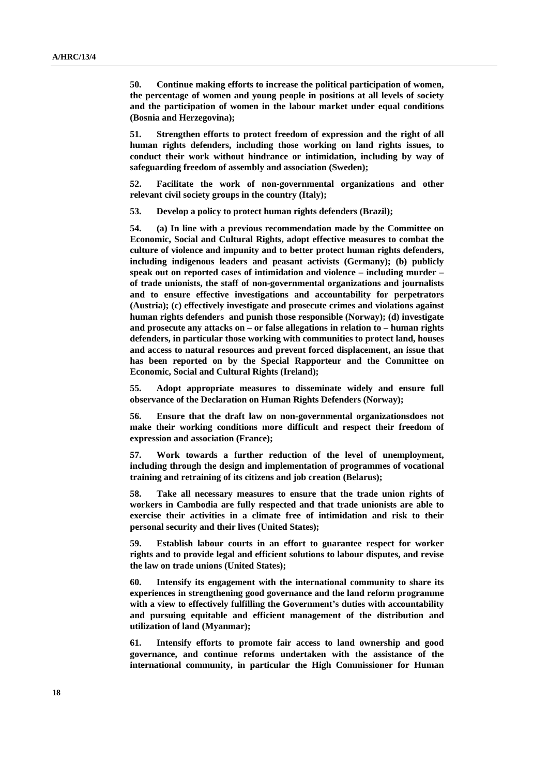**50. Continue making efforts to increase the political participation of women, the percentage of women and young people in positions at all levels of society and the participation of women in the labour market under equal conditions (Bosnia and Herzegovina);** 

**51. Strengthen efforts to protect freedom of expression and the right of all human rights defenders, including those working on land rights issues, to conduct their work without hindrance or intimidation, including by way of safeguarding freedom of assembly and association (Sweden);** 

**52. Facilitate the work of non-governmental organizations and other relevant civil society groups in the country (Italy);** 

**53. Develop a policy to protect human rights defenders (Brazil);** 

**54. (a) In line with a previous recommendation made by the Committee on Economic, Social and Cultural Rights, adopt effective measures to combat the culture of violence and impunity and to better protect human rights defenders, including indigenous leaders and peasant activists (Germany); (b) publicly speak out on reported cases of intimidation and violence – including murder – of trade unionists, the staff of non-governmental organizations and journalists and to ensure effective investigations and accountability for perpetrators (Austria); (c) effectively investigate and prosecute crimes and violations against human rights defenders and punish those responsible (Norway); (d) investigate and prosecute any attacks on – or false allegations in relation to – human rights defenders, in particular those working with communities to protect land, houses and access to natural resources and prevent forced displacement, an issue that has been reported on by the Special Rapporteur and the Committee on Economic, Social and Cultural Rights (Ireland);** 

**55. Adopt appropriate measures to disseminate widely and ensure full observance of the Declaration on Human Rights Defenders (Norway);** 

**56. Ensure that the draft law on non-governmental organizationsdoes not make their working conditions more difficult and respect their freedom of expression and association (France);** 

**57. Work towards a further reduction of the level of unemployment, including through the design and implementation of programmes of vocational training and retraining of its citizens and job creation (Belarus);** 

**58. Take all necessary measures to ensure that the trade union rights of workers in Cambodia are fully respected and that trade unionists are able to exercise their activities in a climate free of intimidation and risk to their personal security and their lives (United States);** 

**59. Establish labour courts in an effort to guarantee respect for worker rights and to provide legal and efficient solutions to labour disputes, and revise the law on trade unions (United States);** 

**60. Intensify its engagement with the international community to share its experiences in strengthening good governance and the land reform programme with a view to effectively fulfilling the Government's duties with accountability and pursuing equitable and efficient management of the distribution and utilization of land (Myanmar);** 

**61. Intensify efforts to promote fair access to land ownership and good governance, and continue reforms undertaken with the assistance of the international community, in particular the High Commissioner for Human**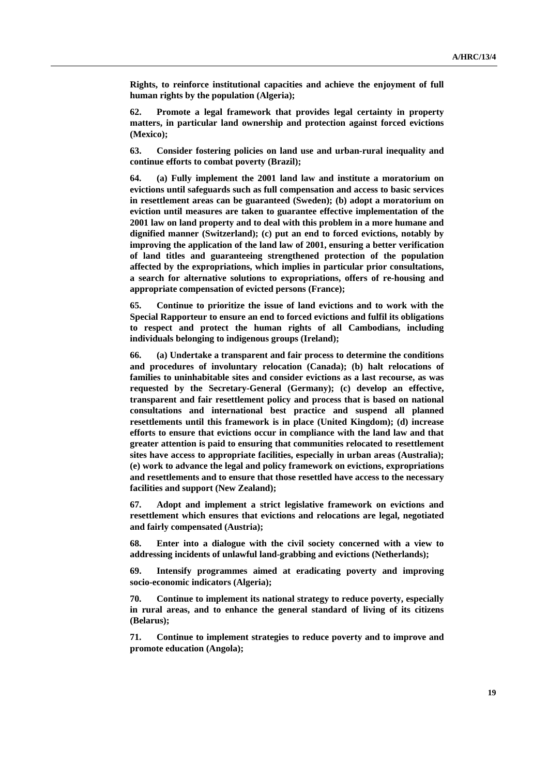**Rights, to reinforce institutional capacities and achieve the enjoyment of full human rights by the population (Algeria);** 

**62. Promote a legal framework that provides legal certainty in property matters, in particular land ownership and protection against forced evictions (Mexico);** 

**63. Consider fostering policies on land use and urban-rural inequality and continue efforts to combat poverty (Brazil);** 

**64. (a) Fully implement the 2001 land law and institute a moratorium on evictions until safeguards such as full compensation and access to basic services in resettlement areas can be guaranteed (Sweden); (b) adopt a moratorium on eviction until measures are taken to guarantee effective implementation of the 2001 law on land property and to deal with this problem in a more humane and dignified manner (Switzerland); (c) put an end to forced evictions, notably by improving the application of the land law of 2001, ensuring a better verification of land titles and guaranteeing strengthened protection of the population affected by the expropriations, which implies in particular prior consultations, a search for alternative solutions to expropriations, offers of re-housing and appropriate compensation of evicted persons (France);** 

**65. Continue to prioritize the issue of land evictions and to work with the Special Rapporteur to ensure an end to forced evictions and fulfil its obligations to respect and protect the human rights of all Cambodians, including individuals belonging to indigenous groups (Ireland);** 

**66. (a) Undertake a transparent and fair process to determine the conditions and procedures of involuntary relocation (Canada); (b) halt relocations of families to uninhabitable sites and consider evictions as a last recourse, as was requested by the Secretary-General (Germany); (c) develop an effective, transparent and fair resettlement policy and process that is based on national consultations and international best practice and suspend all planned resettlements until this framework is in place (United Kingdom); (d) increase efforts to ensure that evictions occur in compliance with the land law and that greater attention is paid to ensuring that communities relocated to resettlement sites have access to appropriate facilities, especially in urban areas (Australia); (e) work to advance the legal and policy framework on evictions, expropriations and resettlements and to ensure that those resettled have access to the necessary facilities and support (New Zealand);** 

**67. Adopt and implement a strict legislative framework on evictions and resettlement which ensures that evictions and relocations are legal, negotiated and fairly compensated (Austria);** 

**68. Enter into a dialogue with the civil society concerned with a view to addressing incidents of unlawful land-grabbing and evictions (Netherlands);** 

**69. Intensify programmes aimed at eradicating poverty and improving socio-economic indicators (Algeria);** 

**70. Continue to implement its national strategy to reduce poverty, especially in rural areas, and to enhance the general standard of living of its citizens (Belarus);** 

**71. Continue to implement strategies to reduce poverty and to improve and promote education (Angola);**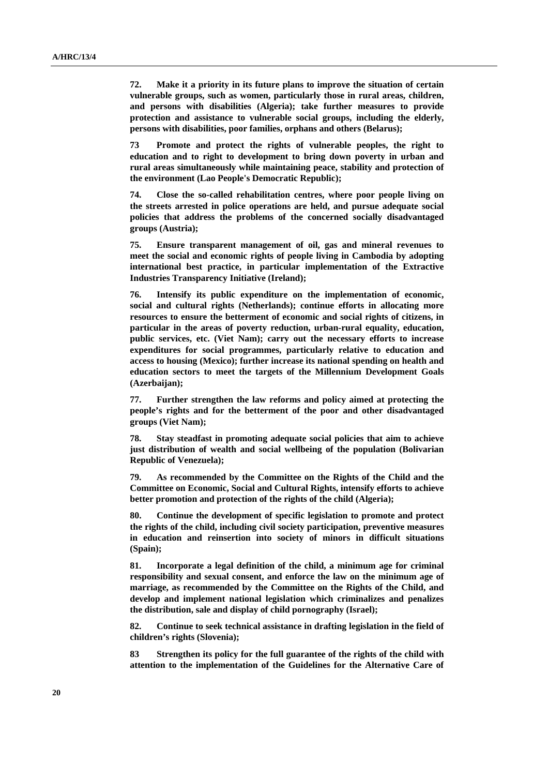**72. Make it a priority in its future plans to improve the situation of certain vulnerable groups, such as women, particularly those in rural areas, children, and persons with disabilities (Algeria); take further measures to provide protection and assistance to vulnerable social groups, including the elderly, persons with disabilities, poor families, orphans and others (Belarus);** 

**73 Promote and protect the rights of vulnerable peoples, the right to education and to right to development to bring down poverty in urban and rural areas simultaneously while maintaining peace, stability and protection of the environment (Lao People's Democratic Republic);** 

**74. Close the so-called rehabilitation centres, where poor people living on the streets arrested in police operations are held, and pursue adequate social policies that address the problems of the concerned socially disadvantaged groups (Austria);** 

**75. Ensure transparent management of oil, gas and mineral revenues to meet the social and economic rights of people living in Cambodia by adopting international best practice, in particular implementation of the Extractive Industries Transparency Initiative (Ireland);** 

**76. Intensify its public expenditure on the implementation of economic, social and cultural rights (Netherlands); continue efforts in allocating more resources to ensure the betterment of economic and social rights of citizens, in particular in the areas of poverty reduction, urban-rural equality, education, public services, etc. (Viet Nam); carry out the necessary efforts to increase expenditures for social programmes, particularly relative to education and access to housing (Mexico); further increase its national spending on health and education sectors to meet the targets of the Millennium Development Goals (Azerbaijan);** 

**77. Further strengthen the law reforms and policy aimed at protecting the people's rights and for the betterment of the poor and other disadvantaged groups (Viet Nam);** 

**78. Stay steadfast in promoting adequate social policies that aim to achieve just distribution of wealth and social wellbeing of the population (Bolivarian Republic of Venezuela);** 

**79. As recommended by the Committee on the Rights of the Child and the Committee on Economic, Social and Cultural Rights, intensify efforts to achieve better promotion and protection of the rights of the child (Algeria);** 

**80. Continue the development of specific legislation to promote and protect the rights of the child, including civil society participation, preventive measures in education and reinsertion into society of minors in difficult situations (Spain);** 

**81. Incorporate a legal definition of the child, a minimum age for criminal responsibility and sexual consent, and enforce the law on the minimum age of marriage, as recommended by the Committee on the Rights of the Child, and develop and implement national legislation which criminalizes and penalizes the distribution, sale and display of child pornography (Israel);** 

**82. Continue to seek technical assistance in drafting legislation in the field of children's rights (Slovenia);** 

**83 Strengthen its policy for the full guarantee of the rights of the child with attention to the implementation of the Guidelines for the Alternative Care of**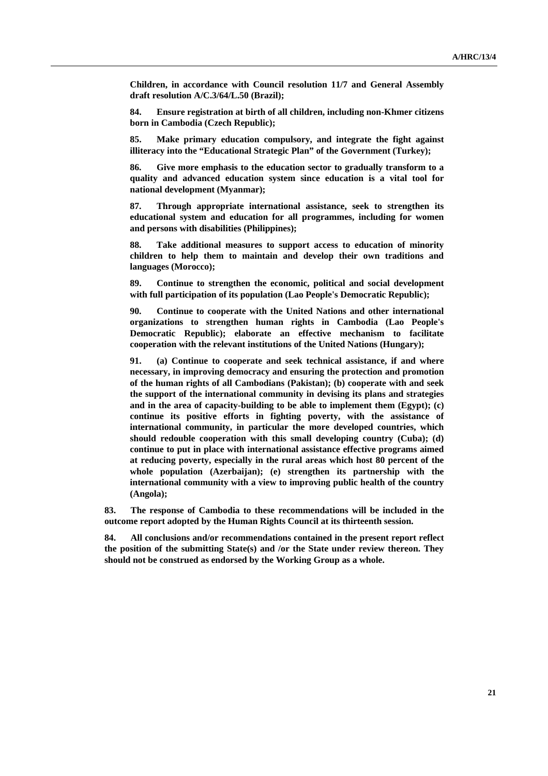**Children, in accordance with Council resolution 11/7 and General Assembly draft resolution A/C.3/64/L.50 (Brazil);** 

**84. Ensure registration at birth of all children, including non-Khmer citizens born in Cambodia (Czech Republic);** 

**85. Make primary education compulsory, and integrate the fight against illiteracy into the "Educational Strategic Plan" of the Government (Turkey);** 

**86. Give more emphasis to the education sector to gradually transform to a quality and advanced education system since education is a vital tool for national development (Myanmar);** 

**87. Through appropriate international assistance, seek to strengthen its educational system and education for all programmes, including for women and persons with disabilities (Philippines);** 

**88. Take additional measures to support access to education of minority children to help them to maintain and develop their own traditions and languages (Morocco);** 

**89. Continue to strengthen the economic, political and social development with full participation of its population (Lao People's Democratic Republic);** 

**90. Continue to cooperate with the United Nations and other international organizations to strengthen human rights in Cambodia (Lao People's Democratic Republic); elaborate an effective mechanism to facilitate cooperation with the relevant institutions of the United Nations (Hungary);** 

**91. (a) Continue to cooperate and seek technical assistance, if and where necessary, in improving democracy and ensuring the protection and promotion of the human rights of all Cambodians (Pakistan); (b) cooperate with and seek the support of the international community in devising its plans and strategies and in the area of capacity-building to be able to implement them (Egypt); (c) continue its positive efforts in fighting poverty, with the assistance of international community, in particular the more developed countries, which should redouble cooperation with this small developing country (Cuba); (d) continue to put in place with international assistance effective programs aimed at reducing poverty, especially in the rural areas which host 80 percent of the whole population (Azerbaijan); (e) strengthen its partnership with the international community with a view to improving public health of the country (Angola);** 

**83. The response of Cambodia to these recommendations will be included in the outcome report adopted by the Human Rights Council at its thirteenth session.** 

**84. All conclusions and/or recommendations contained in the present report reflect the position of the submitting State(s) and /or the State under review thereon. They should not be construed as endorsed by the Working Group as a whole.**